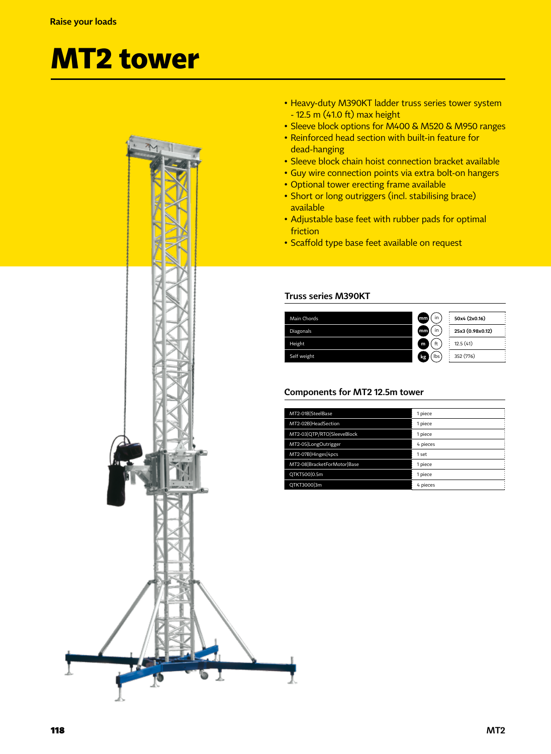## **MT2 tower**



- Heavy-duty M390KT ladder truss series tower system - 12.5 m (41.0 ft) max height
- Sleeve block options for M400 & M520 & M950 ranges
- Reinforced head section with built-in feature for dead-hanging
- Sleeve block chain hoist connection bracket available
- Guy wire connection points via extra bolt-on hangers
- Optional tower erecting frame available
- Short or long outriggers (incl. stabilising brace) available
- Adjustable base feet with rubber pads for optimal friction
- Scaffold type base feet available on request

## **Truss series M390KT**



## **Components for MT2 12.5m tower**

| MT2-01B SteelBase           | 1 piece  |
|-----------------------------|----------|
| MT2-02B HeadSection         | 1 piece  |
| MT2-03 QTP/RTO SleeveBlock  | 1 piece  |
| MT2-05 LongOutrigger        | 4 pieces |
| MT2-07B Hinges 4pcs         | 1 set    |
| MT2-08 BracketForMotor Base | 1 piece  |
| QTKT500 0.5m                | 1 piece  |
| QTKT3000 3m                 | 4 pieces |